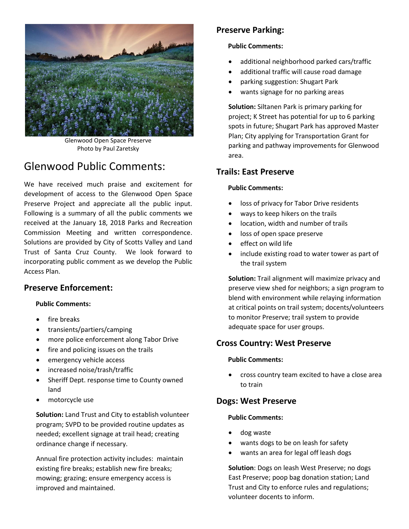

Glenwood Open Space Preserve Photo by Paul Zaretsky

# Glenwood Public Comments:

We have received much praise and excitement for development of access to the Glenwood Open Space Preserve Project and appreciate all the public input. Following is a summary of all the public comments we received at the January 18, 2018 Parks and Recreation Commission Meeting and written correspondence. Solutions are provided by City of Scotts Valley and Land Trust of Santa Cruz County. We look forward to incorporating public comment as we develop the Public Access Plan.

### **Preserve Enforcement:**

#### **Public Comments:**

- fire breaks
- transients/partiers/camping
- more police enforcement along Tabor Drive
- fire and policing issues on the trails
- emergency vehicle access
- increased noise/trash/traffic
- Sheriff Dept. response time to County owned land
- motorcycle use

**Solution:** Land Trust and City to establish volunteer program; SVPD to be provided routine updates as needed; excellent signage at trail head; creating ordinance change if necessary.

Annual fire protection activity includes: maintain existing fire breaks; establish new fire breaks; mowing; grazing; ensure emergency access is improved and maintained.

# **Preserve Parking:**

#### **Public Comments:**

- additional neighborhood parked cars/traffic
- additional traffic will cause road damage
- parking suggestion: Shugart Park
- wants signage for no parking areas

**Solution:** Siltanen Park is primary parking for project; K Street has potential for up to 6 parking spots in future; Shugart Park has approved Master Plan; City applying for Transportation Grant for parking and pathway improvements for Glenwood area.

## **Trails: East Preserve**

#### **Public Comments:**

- loss of privacy for Tabor Drive residents
- ways to keep hikers on the trails
- location, width and number of trails
- loss of open space preserve
- effect on wild life
- include existing road to water tower as part of the trail system

**Solution:** Trail alignment will maximize privacy and preserve view shed for neighbors; a sign program to blend with environment while relaying information at critical points on trail system; docents/volunteers to monitor Preserve; trail system to provide adequate space for user groups.

## **Cross Country: West Preserve**

#### **Public Comments:**

 cross country team excited to have a close area to train

## **Dogs: West Preserve**

#### **Public Comments:**

- dog waste
- wants dogs to be on leash for safety
- wants an area for legal off leash dogs

**Solution**: Dogs on leash West Preserve; no dogs East Preserve; poop bag donation station; Land Trust and City to enforce rules and regulations; volunteer docents to inform.